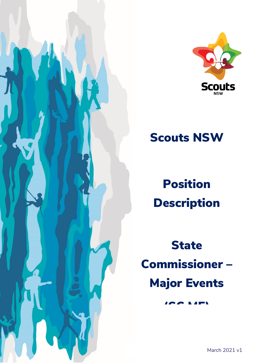



# Scouts NSW

Position Description

**State** Commissioner – Major Events

 $\overline{\phantom{a}}$  ( $\overline{\phantom{a}}$  map)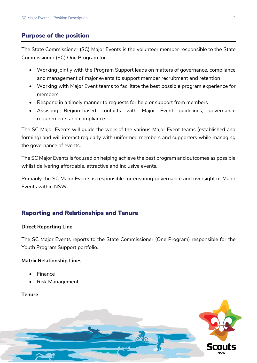## Purpose of the position

The State Commissioner (SC) Major Events is the volunteer member responsible to the State Commissioner (SC) One Program for:

- Working jointly with the Program Support leads on matters of governance, compliance and management of major events to support member recruitment and retention
- Working with Major Event teams to facilitate the best possible program experience for members
- Respond in a timely manner to requests for help or support from members
- Assisting Region-based contacts with Major Event guidelines, governance requirements and compliance.

The SC Major Events will guide the work of the various Major Event teams (established and forming) and will interact regularly with uniformed members and supporters while managing the governance of events.

The SC Major Events is focused on helping achieve the best program and outcomes as possible whilst delivering affordable, attractive and inclusive events.

Primarily the SC Major Events is responsible for ensuring governance and oversight of Major Events within NSW.

# Reporting and Relationships and Tenure

#### **Direct Reporting Line**

The SC Major Events reports to the State Commissioner (One Program) responsible for the Youth Program Support portfolio.

## **Matrix Relationship Lines**

- Finance
- Risk Management

## **Tenure**

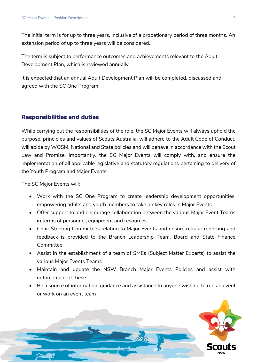The initial term is for up to three years, inclusive of a probationary period of three months. An extension period of up to three years will be considered.

The term is subject to performance outcomes and achievements relevant to the Adult Development Plan, which is reviewed annually.

It is expected that an annual Adult Development Plan will be completed, discussed and agreed with the SC One Program.

## Responsibilities and duties

While carrying out the responsibilities of the role, the SC Major Events will always uphold the purpose, principles and values of Scouts Australia, will adhere to the Adult Code of Conduct, will abide by WOSM, National and State policies and will behave in accordance with the Scout Law and Promise. Importantly, the SC Major Events will comply with, and ensure the implementation of all applicable legislative and statutory regulations pertaining to delivery of the Youth Program and Major Events.

The SC Major Events will:

- Work with the SC One Program to create leadership development opportunities, empowering adults and youth members to take on key roles in Major Events
- Offer support to and encourage collaboration between the various Major Event Teams in terms of personnel, equipment and resources
- Chair Steering Committees relating to Major Events and ensure regular reporting and feedback is provided to the Branch Leadership Team, Board and State Finance Committee
- Assist in the establishment of a team of SMEs (Subject Matter Experts) to assist the various Major Events Teams
- Maintain and update the NSW Branch Major Events Policies and assist with enforcement of these
- Be a source of information, guidance and assistance to anyone wishing to run an event or work on an event team

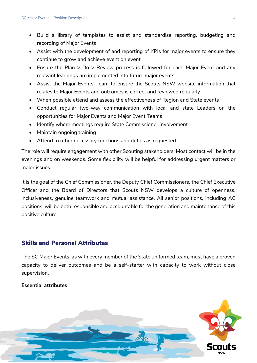- Build a library of templates to assist and standardise reporting, budgeting and recording of Major Events
- Assist with the development of and reporting of KPIs for major events to ensure they continue to grow and achieve event on event
- Ensure the Plan > Do > Review process is followed for each Major Event and any relevant learnings are implemented into future major events
- Assist the Major Events Team to ensure the Scouts NSW website information that relates to Major Events and outcomes is correct and reviewed regularly
- When possible attend and assess the effectiveness of Region and State events
- Conduct regular two-way communication with local and state Leaders on the opportunities for Major Events and Major Event Teams
- Identify where meetings require State Commissioner involvement
- Maintain ongoing training
- Attend to other necessary functions and duties as requested

The role will require engagement with other Scouting stakeholders. Most contact will be in the evenings and on weekends. Some flexibility will be helpful for addressing urgent matters or major issues.

It is the goal of the Chief Commissioner, the Deputy Chief Commissioners, the Chief Executive Officer and the Board of Directors that Scouts NSW develops a culture of openness, inclusiveness, genuine teamwork and mutual assistance. All senior positions, including AC positions, will be both responsible and accountable for the generation and maintenance of this positive culture.

## Skills and Personal Attributes

The SC Major Events, as with every member of the State uniformed team, must have a proven capacity to deliver outcomes and be a self-starter with capacity to work without close supervision.

#### **Essential attributes**

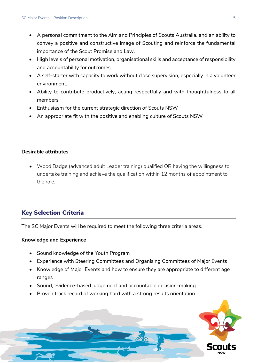- A personal commitment to the Aim and Principles of Scouts Australia, and an ability to convey a positive and constructive image of Scouting and reinforce the fundamental importance of the Scout Promise and Law.
- High levels of personal motivation, organisational skills and acceptance of responsibility and accountability for outcomes.
- A self-starter with capacity to work without close supervision, especially in a volunteer environment.
- Ability to contribute productively, acting respectfully and with thoughtfulness to all members
- Enthusiasm for the current strategic direction of Scouts NSW
- An appropriate fit with the positive and enabling culture of Scouts NSW

#### **Desirable attributes**

• Wood Badge (advanced adult Leader training) qualified OR having the willingness to undertake training and achieve the qualification within 12 months of appointment to the role.

# Key Selection Criteria

The SC Major Events will be required to meet the following three criteria areas.

#### **Knowledge and Experience**

- Sound knowledge of the Youth Program
- Experience with Steering Committees and Organising Committees of Major Events
- Knowledge of Major Events and how to ensure they are appropriate to different age ranges
- Sound, evidence-based judgement and accountable decision-making
- Proven track record of working hard with a strong results orientation

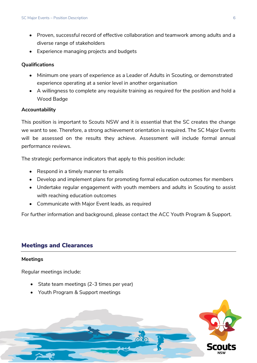- Proven, successful record of effective collaboration and teamwork among adults and a diverse range of stakeholders
- Experience managing projects and budgets

### **Qualifications**

- Minimum one years of experience as a Leader of Adults in Scouting, or demonstrated experience operating at a senior level in another organisation
- A willingness to complete any requisite training as required for the position and hold a Wood Badge

#### **Accountability**

This position is important to Scouts NSW and it is essential that the SC creates the change we want to see. Therefore, a strong achievement orientation is required. The SC Major Events will be assessed on the results they achieve. Assessment will include formal annual performance reviews.

The strategic performance indicators that apply to this position include:

- Respond in a timely manner to emails
- Develop and implement plans for promoting formal education outcomes for members
- Undertake regular engagement with youth members and adults in Scouting to assist with reaching education outcomes
- Communicate with Major Event leads, as required

For further information and background, please contact the ACC Youth Program & Support.

# Meetings and Clearances

#### **Meetings**

Regular meetings include:

- State team meetings (2-3 times per year)
- Youth Program & Support meetings